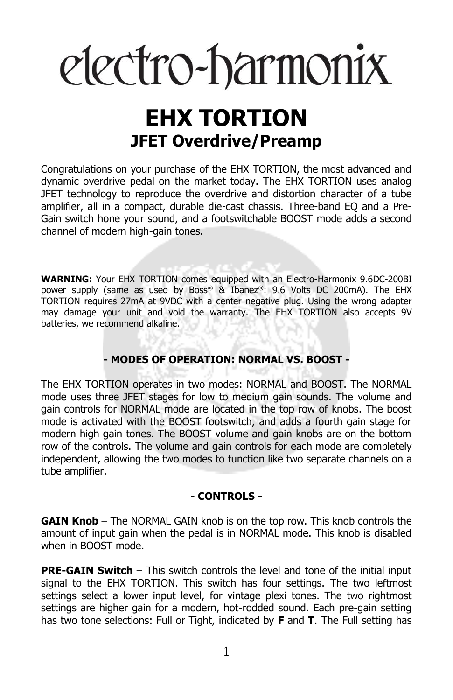# electro-harmonix

# **EHX TORTION JFET Overdrive/Preamp**

Congratulations on your purchase of the EHX TORTION, the most advanced and dynamic overdrive pedal on the market today. The EHX TORTION uses analog JFET technology to reproduce the overdrive and distortion character of a tube amplifier, all in a compact, durable die-cast chassis. Three-band EQ and a Pre-Gain switch hone your sound, and a footswitchable BOOST mode adds a second channel of modern high-gain tones.

**WARNING:** Your EHX TORTION comes equipped with an Electro-Harmonix 9.6DC-200BI power supply (same as used by Boss® & Ibanez®: 9.6 Volts DC 200mA). The EHX TORTION requires 27mA at 9VDC with a center negative plug. Using the wrong adapter may damage your unit and void the warranty. The EHX TORTION also accepts 9V batteries, we recommend alkaline.

# **- MODES OF OPERATION: NORMAL VS. BOOST -**

The EHX TORTION operates in two modes: NORMAL and BOOST. The NORMAL mode uses three JFET stages for low to medium gain sounds. The volume and gain controls for NORMAL mode are located in the top row of knobs. The boost mode is activated with the BOOST footswitch, and adds a fourth gain stage for modern high-gain tones. The BOOST volume and gain knobs are on the bottom row of the controls. The volume and gain controls for each mode are completely independent, allowing the two modes to function like two separate channels on a tube amplifier.

#### **- CONTROLS -**

**GAIN Knob** – The NORMAL GAIN knob is on the top row. This knob controls the amount of input gain when the pedal is in NORMAL mode. This knob is disabled when in BOOST mode.

**PRE-GAIN Switch** – This switch controls the level and tone of the initial input signal to the EHX TORTION. This switch has four settings. The two leftmost settings select a lower input level, for vintage plexi tones. The two rightmost settings are higher gain for a modern, hot-rodded sound. Each pre-gain setting has two tone selections: Full or Tight, indicated by **F** and **T**. The Full setting has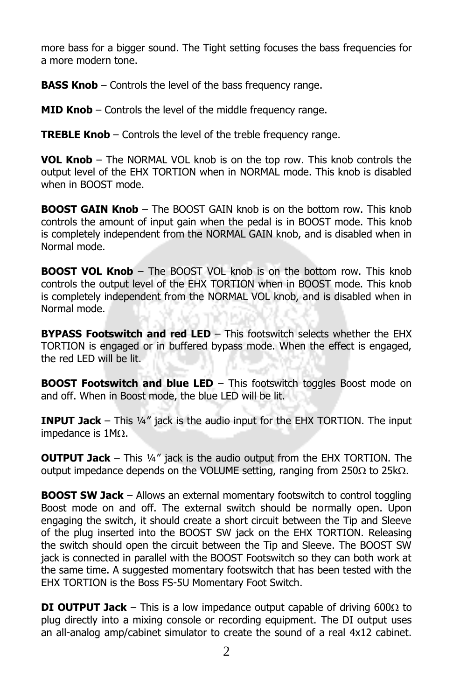more bass for a bigger sound. The Tight setting focuses the bass frequencies for a more modern tone.

**BASS Knob** – Controls the level of the bass frequency range.

**MID Knob** – Controls the level of the middle frequency range.

**TREBLE Knob** – Controls the level of the treble frequency range.

**VOL Knob** – The NORMAL VOL knob is on the top row. This knob controls the output level of the EHX TORTION when in NORMAL mode. This knob is disabled when in BOOST mode.

**BOOST GAIN Knob** – The BOOST GAIN knob is on the bottom row. This knob controls the amount of input gain when the pedal is in BOOST mode. This knob is completely independent from the NORMAL GAIN knob, and is disabled when in Normal mode.

**BOOST VOL Knob** – The BOOST VOL knob is on the bottom row. This knob controls the output level of the EHX TORTION when in BOOST mode. This knob is completely independent from the NORMAL VOL knob, and is disabled when in Normal mode.

**BYPASS Footswitch and red LED** – This footswitch selects whether the EHX TORTION is engaged or in buffered bypass mode. When the effect is engaged, the red LED will be lit.

**BOOST Footswitch and blue LED** – This footswitch toggles Boost mode on and off. When in Boost mode, the blue LED will be lit.

**INPUT Jack** – This ¼" jack is the audio input for the EHX TORTION. The input impedance is  $1M<sub>\Omega</sub>$ .

**OUTPUT Jack** – This ¼" jack is the audio output from the EHX TORTION. The output impedance depends on the VOLUME setting, ranging from  $250\Omega$  to  $25k\Omega$ .

**BOOST SW Jack** – Allows an external momentary footswitch to control toggling Boost mode on and off. The external switch should be normally open. Upon engaging the switch, it should create a short circuit between the Tip and Sleeve of the plug inserted into the BOOST SW jack on the EHX TORTION. Releasing the switch should open the circuit between the Tip and Sleeve. The BOOST SW jack is connected in parallel with the BOOST Footswitch so they can both work at the same time. A suggested momentary footswitch that has been tested with the EHX TORTION is the Boss FS-5U Momentary Foot Switch.

**DI OUTPUT Jack** – This is a low impedance output capable of driving 600 $\Omega$  to plug directly into a mixing console or recording equipment. The DI output uses an all-analog amp/cabinet simulator to create the sound of a real 4x12 cabinet.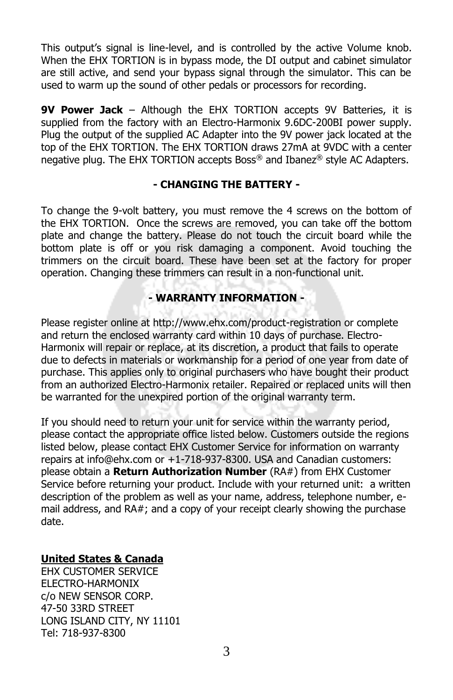This output's signal is line-level, and is controlled by the active Volume knob. When the EHX TORTION is in bypass mode, the DI output and cabinet simulator are still active, and send your bypass signal through the simulator. This can be used to warm up the sound of other pedals or processors for recording.

**9V Power Jack** – Although the EHX TORTION accepts 9V Batteries, it is supplied from the factory with an Electro-Harmonix 9.6DC-200BI power supply. Plug the output of the supplied AC Adapter into the 9V power jack located at the top of the EHX TORTION. The EHX TORTION draws 27mA at 9VDC with a center negative plug. The EHX TORTION accepts Boss® and Ibanez® style AC Adapters.

#### **- CHANGING THE BATTERY -**

To change the 9-volt battery, you must remove the 4 screws on the bottom of the EHX TORTION. Once the screws are removed, you can take off the bottom plate and change the battery. Please do not touch the circuit board while the bottom plate is off or you risk damaging a component. Avoid touching the trimmers on the circuit board. These have been set at the factory for proper operation. Changing these trimmers can result in a non-functional unit.

# **- WARRANTY INFORMATION -**

Please register online at http://www.ehx.com/product-registration or complete and return the enclosed warranty card within 10 days of purchase. Electro-Harmonix will repair or replace, at its discretion, a product that fails to operate due to defects in materials or workmanship for a period of one year from date of purchase. This applies only to original purchasers who have bought their product from an authorized Electro-Harmonix retailer. Repaired or replaced units will then be warranted for the unexpired portion of the original warranty term.

If you should need to return your unit for service within the warranty period, please contact the appropriate office listed below. Customers outside the regions listed below, please contact EHX Customer Service for information on warranty repairs at info@ehx.com or +1-718-937-8300. USA and Canadian customers: please obtain a **Return Authorization Number** (RA#) from EHX Customer Service before returning your product. Include with your returned unit: a written description of the problem as well as your name, address, telephone number, email address, and RA#; and a copy of your receipt clearly showing the purchase date.

# **United States & Canada**

EHX CUSTOMER SERVICE ELECTRO-HARMONIX c/o NEW SENSOR CORP. 47-50 33RD STREET LONG ISLAND CITY, NY 11101 Tel: 718-937-8300